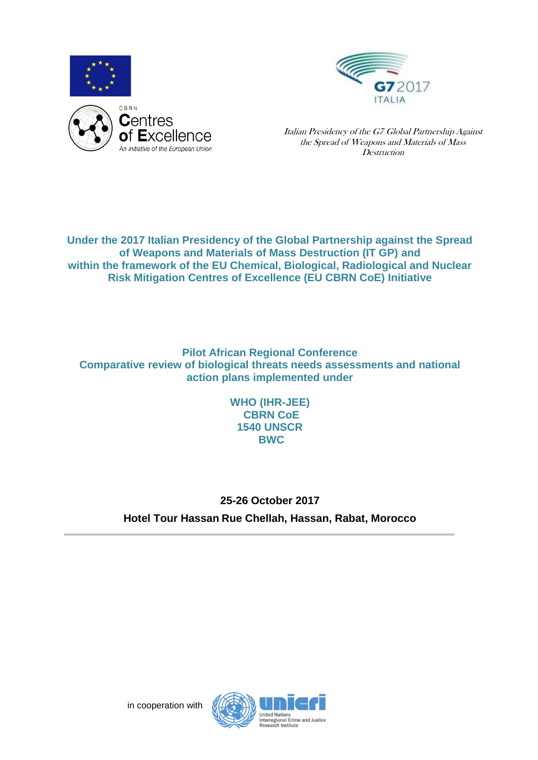



Italian Presidency of the G7 Global Partnership Against the Spread of Weapons and Materials of Mass **Destruction** 

**Under the 2017 Italian Presidency of the Global Partnership against the Spread of Weapons and Materials of Mass Destruction (IT GP) and within the framework of the EU Chemical, Biological, Radiological and Nuclear Risk Mitigation Centres of Excellence (EU CBRN CoE) Initiative**

**Pilot African Regional Conference Comparative review of biological threats needs assessments and national action plans implemented under**

> **WHO (IHR-JEE) CBRN CoE 1540 UNSCR BWC**

**25-26 October 2017 Hotel Tour Hassan Rue Chellah, Hassan, Rabat, Morocco**

in cooperation with

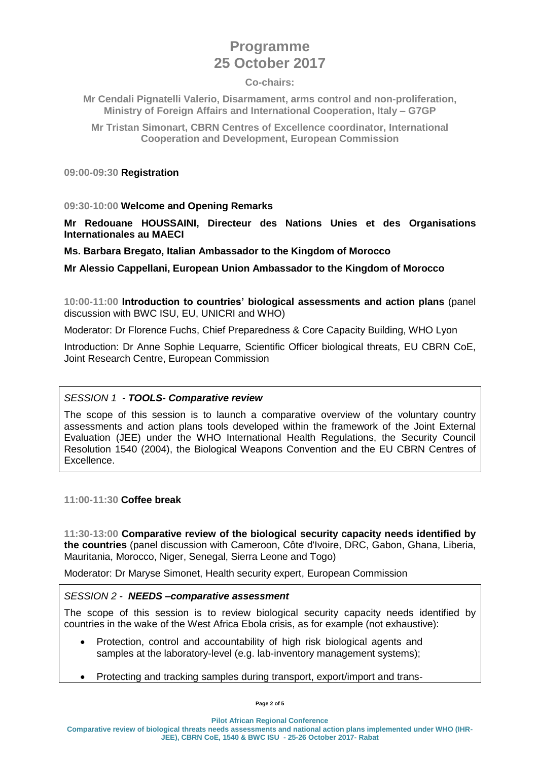# **Programme 25 October 2017**

#### **Co-chairs:**

**Mr Cendali Pignatelli Valerio, Disarmament, arms control and non-proliferation, Ministry of Foreign Affairs and International Cooperation, Italy – G7GP**

**Mr Tristan Simonart, CBRN Centres of Excellence coordinator, International Cooperation and Development, European Commission**

**09:00-09:30 Registration**

#### **09:30-10:00 Welcome and Opening Remarks**

**Mr Redouane HOUSSAINI, Directeur des Nations Unies et des Organisations Internationales au MAECI** 

**Ms. Barbara Bregato, Italian Ambassador to the Kingdom of Morocco**

**Mr Alessio Cappellani, European Union Ambassador to the Kingdom of Morocco** 

**10:00-11:00 Introduction to countries' biological assessments and action plans** (panel discussion with BWC ISU, EU, UNICRI and WHO)

Moderator: Dr Florence Fuchs, Chief Preparedness & Core Capacity Building, WHO Lyon

Introduction: Dr Anne Sophie Lequarre, Scientific Officer biological threats, EU CBRN CoE, Joint Research Centre, European Commission

# *SESSION 1 - TOOLS- Comparative review*

The scope of this session is to launch a comparative overview of the voluntary country assessments and action plans tools developed within the framework of the Joint External Evaluation (JEE) under the WHO International Health Regulations, the Security Council Resolution 1540 (2004), the Biological Weapons Convention and the EU CBRN Centres of Excellence.

**11:00-11:30 Coffee break**

**11:30-13:00 Comparative review of the biological security capacity needs identified by the countries** (panel discussion with Cameroon, Côte d'Ivoire, DRC, Gabon, Ghana, Liberia, Mauritania, Morocco, Niger, Senegal, Sierra Leone and Togo)

Moderator: Dr Maryse Simonet, Health security expert, European Commission

# *SESSION 2 - NEEDS –comparative assessment*

The scope of this session is to review biological security capacity needs identified by countries in the wake of the West Africa Ebola crisis, as for example (not exhaustive):

- Protection, control and accountability of high risk biological agents and samples at the laboratory-level (e.g. lab-inventory management systems);
- Protecting and tracking samples during transport, export/import and trans-

**Pilot African Regional Conference**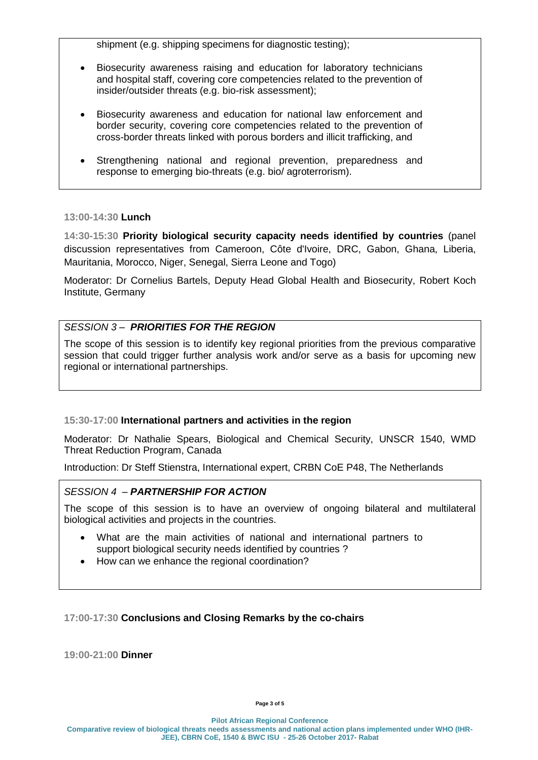shipment (e.g. shipping specimens for diagnostic testing);

- Biosecurity awareness raising and education for laboratory technicians and hospital staff, covering core competencies related to the prevention of insider/outsider threats (e.g. bio-risk assessment);
- Biosecurity awareness and education for national law enforcement and border security, covering core competencies related to the prevention of cross-border threats linked with porous borders and illicit trafficking, and
- Strengthening national and regional prevention, preparedness and response to emerging bio-threats (e.g. bio/ agroterrorism).

# **13:00-14:30 Lunch**

**14:30-15:30 Priority biological security capacity needs identified by countries** (panel discussion representatives from Cameroon, Côte d'Ivoire, DRC, Gabon, Ghana, Liberia, Mauritania, Morocco, Niger, Senegal, Sierra Leone and Togo)

Moderator: Dr Cornelius Bartels, Deputy Head Global Health and Biosecurity, Robert Koch Institute, Germany

# *SESSION 3 – PRIORITIES FOR THE REGION*

The scope of this session is to identify key regional priorities from the previous comparative session that could trigger further analysis work and/or serve as a basis for upcoming new regional or international partnerships.

# **15:30-17:00 International partners and activities in the region**

Moderator: Dr Nathalie Spears, Biological and Chemical Security, UNSCR 1540, WMD Threat Reduction Program, Canada

Introduction: Dr Steff Stienstra, International expert, CRBN CoE P48, The Netherlands

# *SESSION 4 – PARTNERSHIP FOR ACTION*

The scope of this session is to have an overview of ongoing bilateral and multilateral biological activities and projects in the countries.

- What are the main activities of national and international partners to support biological security needs identified by countries ?
- How can we enhance the regional coordination?

# **17:00-17:30 Conclusions and Closing Remarks by the co-chairs**

**19:00-21:00 Dinner**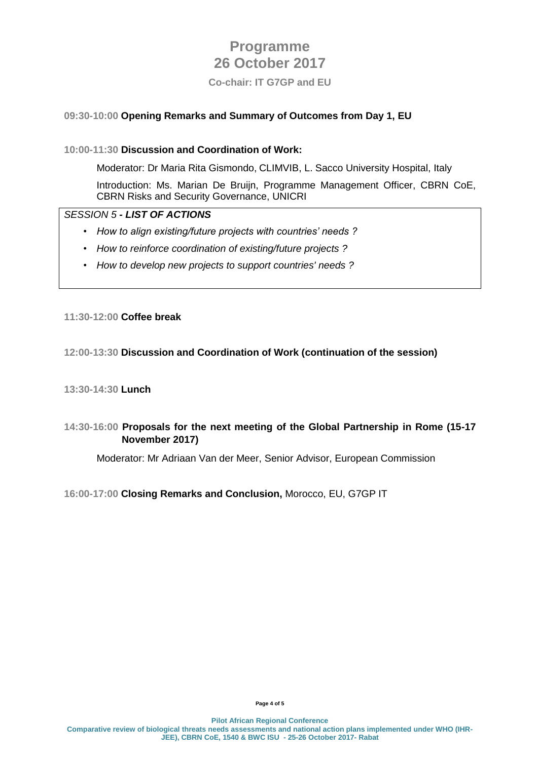# **Programme 26 October 2017**

**Co-chair: IT G7GP and EU**

# **09:30-10:00 Opening Remarks and Summary of Outcomes from Day 1, EU**

# **10:00-11:30 Discussion and Coordination of Work:**

Moderator: Dr Maria Rita Gismondo, CLIMVIB, L. Sacco University Hospital, Italy Introduction: Ms. Marian De Bruijn, Programme Management Officer, CBRN CoE, CBRN Risks and Security Governance, UNICRI

# *SESSION 5 - LIST OF ACTIONS*

- *• How to align existing/future projects with countries' needs ?*
- *• How to reinforce coordination of existing/future projects ?*
- *• How to develop new projects to support countries' needs ?*

# **11:30-12:00 Coffee break**

# **12:00-13:30 Discussion and Coordination of Work (continuation of the session)**

# **13:30-14:30 Lunch**

# **14:30-16:00 Proposals for the next meeting of the Global Partnership in Rome (15-17 November 2017)**

Moderator: Mr Adriaan Van der Meer, Senior Advisor, European Commission

# **16:00-17:00 Closing Remarks and Conclusion,** Morocco, EU, G7GP IT

**Page 4 of 5**